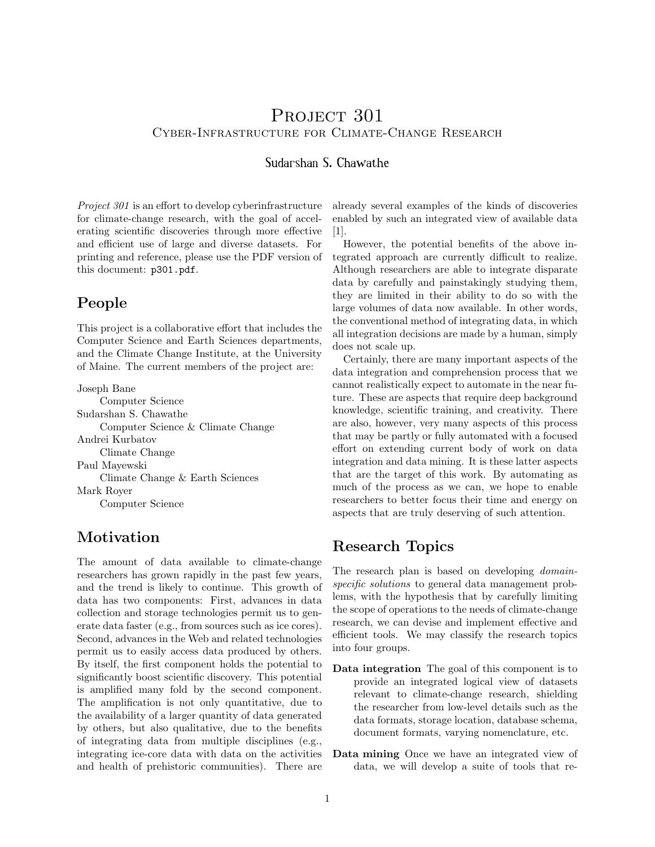# PROJECT 301 Cyber-Infrastructure for Climate-Change Research

#### Sudarshan S. Chawathe

Project 301 is an effort to develop cyberinfrastructure for climate-change research, with the goal of accelerating scientific discoveries through more effective and efficient use of large and diverse datasets. For printing and reference, please use the PDF version of this document: p301.pdf.

### People

This project is a collaborative effort that includes the Computer Science and Earth Sciences departments, and the Climate Change Institute, at the University of Maine. The current members of the project are:

Joseph Bane Computer Science Sudarshan S. Chawathe Computer Science & Climate Change Andrei Kurbatov Climate Change Paul Mayewski Climate Change & Earth Sciences Mark Royer Computer Science

# Motivation

The amount of data available to climate-change researchers has grown rapidly in the past few years, and the trend is likely to continue. This growth of data has two components: First, advances in data collection and storage technologies permit us to generate data faster (e.g., from sources such as ice cores). Second, advances in the Web and related technologies permit us to easily access data produced by others. By itself, the first component holds the potential to significantly boost scientific discovery. This potential is amplified many fold by the second component. The amplification is not only quantitative, due to the availability of a larger quantity of data generated by others, but also qualitative, due to the benefits of integrating data from multiple disciplines (e.g., integrating ice-core data with data on the activities and health of prehistoric communities). There are already several examples of the kinds of discoveries enabled by such an integrated view of available data [1].

However, the potential benefits of the above integrated approach are currently difficult to realize. Although researchers are able to integrate disparate data by carefully and painstakingly studying them, they are limited in their ability to do so with the large volumes of data now available. In other words, the conventional method of integrating data, in which all integration decisions are made by a human, simply does not scale up.

Certainly, there are many important aspects of the data integration and comprehension process that we cannot realistically expect to automate in the near future. These are aspects that require deep background knowledge, scientific training, and creativity. There are also, however, very many aspects of this process that may be partly or fully automated with a focused effort on extending current body of work on data integration and data mining. It is these latter aspects that are the target of this work. By automating as much of the process as we can, we hope to enable researchers to better focus their time and energy on aspects that are truly deserving of such attention.

# Research Topics

The research plan is based on developing *domain*specific solutions to general data management problems, with the hypothesis that by carefully limiting the scope of operations to the needs of climate-change research, we can devise and implement effective and efficient tools. We may classify the research topics into four groups.

- Data integration The goal of this component is to provide an integrated logical view of datasets relevant to climate-change research, shielding the researcher from low-level details such as the data formats, storage location, database schema, document formats, varying nomenclature, etc.
- Data mining Once we have an integrated view of data, we will develop a suite of tools that re-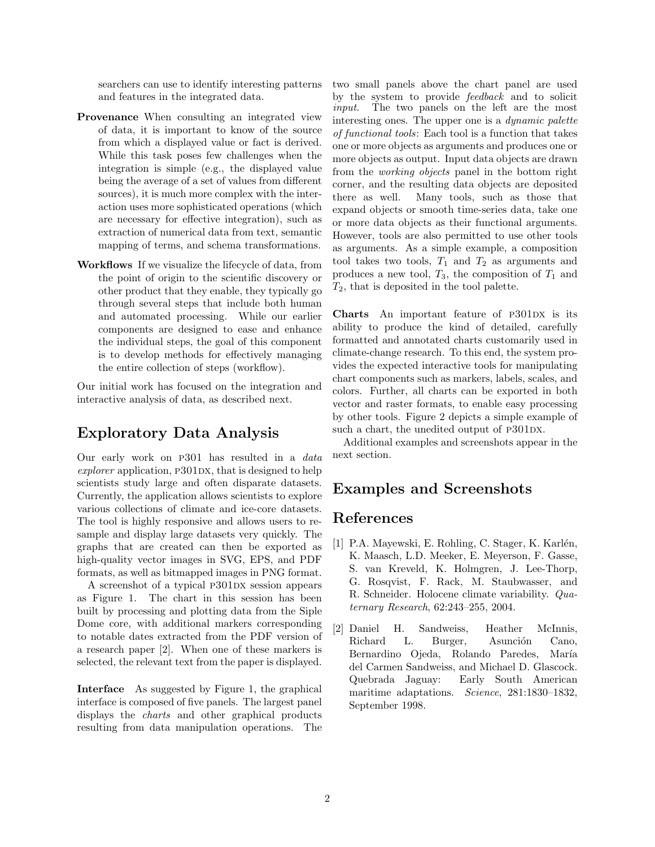searchers can use to identify interesting patterns and features in the integrated data.

- Provenance When consulting an integrated view of data, it is important to know of the source from which a displayed value or fact is derived. While this task poses few challenges when the integration is simple (e.g., the displayed value being the average of a set of values from different sources), it is much more complex with the interaction uses more sophisticated operations (which are necessary for effective integration), such as extraction of numerical data from text, semantic mapping of terms, and schema transformations.
- Workflows If we visualize the lifecycle of data, from the point of origin to the scientific discovery or other product that they enable, they typically go through several steps that include both human and automated processing. While our earlier components are designed to ease and enhance the individual steps, the goal of this component is to develop methods for effectively managing the entire collection of steps (workflow).

Our initial work has focused on the integration and interactive analysis of data, as described next.

### Exploratory Data Analysis

Our early work on p301 has resulted in a data  $explorer$  application,  $P301DX$ , that is designed to help scientists study large and often disparate datasets. Currently, the application allows scientists to explore various collections of climate and ice-core datasets. The tool is highly responsive and allows users to resample and display large datasets very quickly. The graphs that are created can then be exported as high-quality vector images in SVG, EPS, and PDF formats, as well as bitmapped images in PNG format.

A screenshot of a typical P301DX session appears as Figure 1. The chart in this session has been built by processing and plotting data from the Siple Dome core, with additional markers corresponding to notable dates extracted from the PDF version of a research paper [2]. When one of these markers is selected, the relevant text from the paper is displayed.

Interface As suggested by Figure 1, the graphical interface is composed of five panels. The largest panel displays the charts and other graphical products resulting from data manipulation operations. The

two small panels above the chart panel are used by the system to provide feedback and to solicit input. The two panels on the left are the most interesting ones. The upper one is a dynamic palette of functional tools: Each tool is a function that takes one or more objects as arguments and produces one or more objects as output. Input data objects are drawn from the working objects panel in the bottom right corner, and the resulting data objects are deposited there as well. Many tools, such as those that expand objects or smooth time-series data, take one or more data objects as their functional arguments. However, tools are also permitted to use other tools as arguments. As a simple example, a composition tool takes two tools,  $T_1$  and  $T_2$  as arguments and produces a new tool,  $T_3$ , the composition of  $T_1$  and  $T_2$ , that is deposited in the tool palette.

Charts An important feature of P301DX is its ability to produce the kind of detailed, carefully formatted and annotated charts customarily used in climate-change research. To this end, the system provides the expected interactive tools for manipulating chart components such as markers, labels, scales, and colors. Further, all charts can be exported in both vector and raster formats, to enable easy processing by other tools. Figure 2 depicts a simple example of such a chart, the unedited output of P301DX.

Additional examples and screenshots appear in the next section.

# Examples and Screenshots

### References

- [1] P.A. Mayewski, E. Rohling, C. Stager, K. Karlén, K. Maasch, L.D. Meeker, E. Meyerson, F. Gasse, S. van Kreveld, K. Holmgren, J. Lee-Thorp, G. Rosqvist, F. Rack, M. Staubwasser, and R. Schneider. Holocene climate variability. Quaternary Research, 62:243–255, 2004.
- [2] Daniel H. Sandweiss, Heather McInnis, Richard L. Burger, Asunción Cano, Bernardino Ojeda, Rolando Paredes, María del Carmen Sandweiss, and Michael D. Glascock. Quebrada Jaguay: Early South American maritime adaptations. Science, 281:1830-1832, September 1998.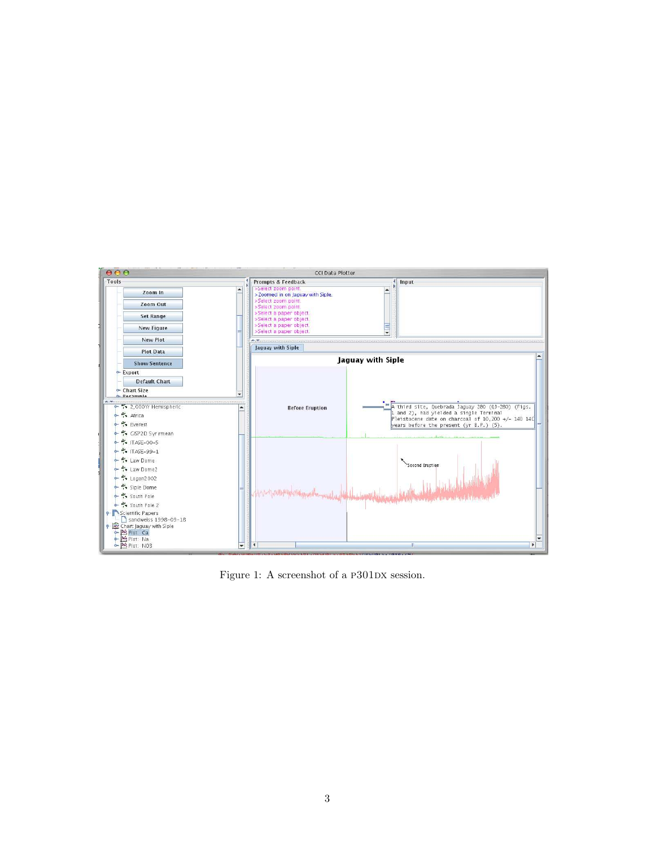

Figure 1: A screenshot of a P301DX session.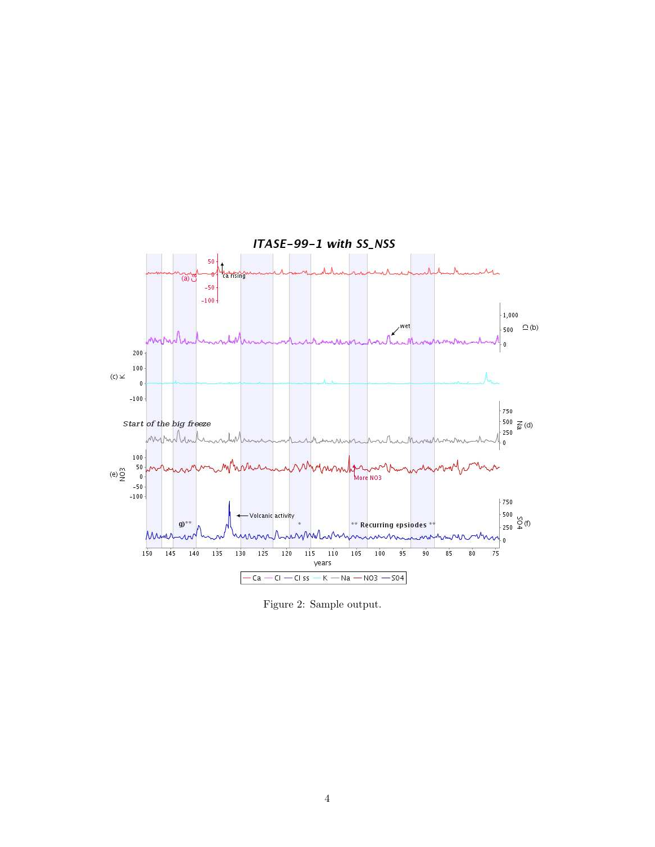

Figure 2: Sample output.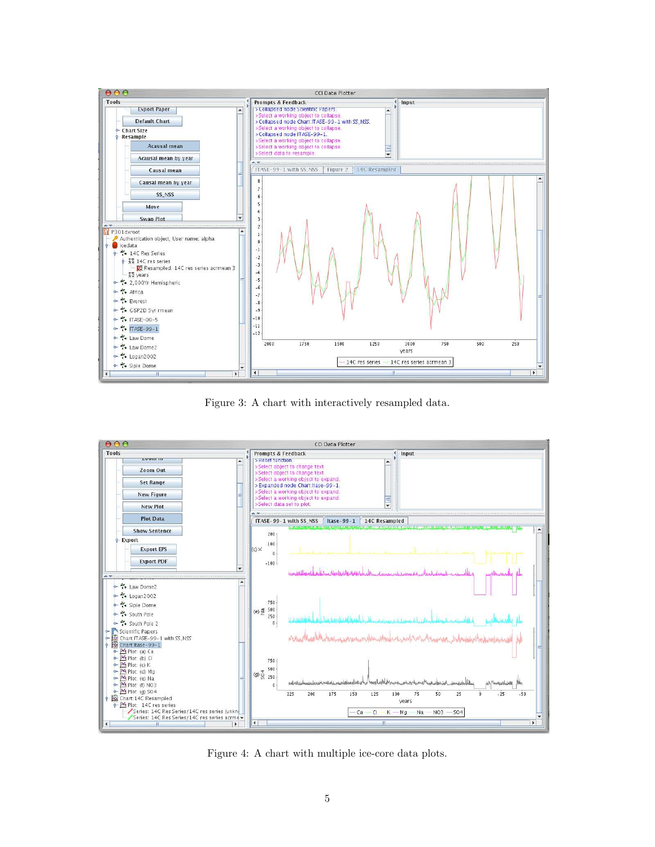

Figure 3: A chart with interactively resampled data.



Figure 4: A chart with multiple ice-core data plots.